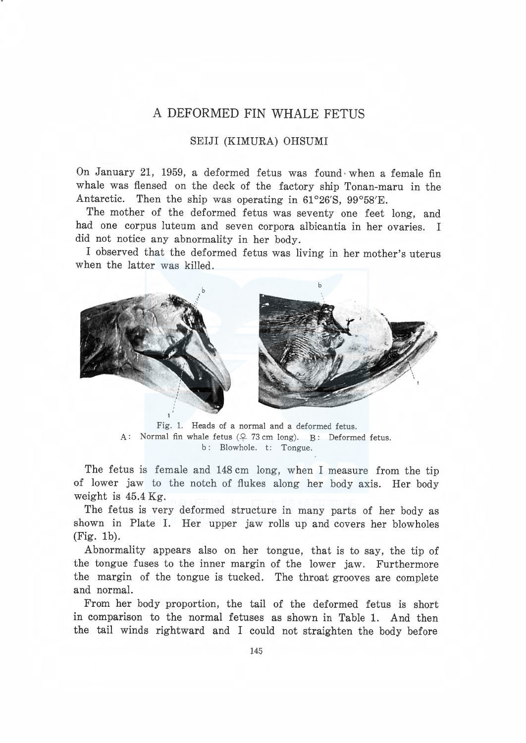## A DEFORMED FIN WHALE FETUS

### SEIJI (KIMURA) OHSUMI

On January 21, 1959, a deformed fetus was found when a female fin whale was flensed on the deck of the factory ship Tonan-maru in the Antarctic. Then the ship was operating in 61°26'S, 99°58'E.

The mother of the deformed fetus was seventy one feet long, and had one corpus luteum and seven corpora albicantia in her ovaries. I did not notice any abnormality in her body.

I observed that the deformed fetus was living in her mother's uterus when the latter was killed.



Fig. 1. Heads of a normal and a deformed fetus. A: Normal fin whale fetus  $(2, 73 \text{ cm long})$ . B: Deformed fetus. b: Blowhole. t: Tongue.

The fetus is female and 148 cm long, when I measure from the tip of lower jaw to the notch of flukes along her body axis. Her body weight is 45.4 Kg.

The fetus is very deformed structure in many parts of her body as shown in Plate I. Her upper jaw rolls up and covers her blowholes (Fig. lb).

Abnormality appears also on her tongue, that is to say, the tip of the tongue fuses to the inner margin of the lower jaw. Furthermore the margin of the tongue is tucked. The throat grooves are complete and normal.

From her body proportion, the tail of the deformed fetus is short in comparison to the normal fetuses as shown in Table 1. And then the tail winds rightward and I could not straighten the body before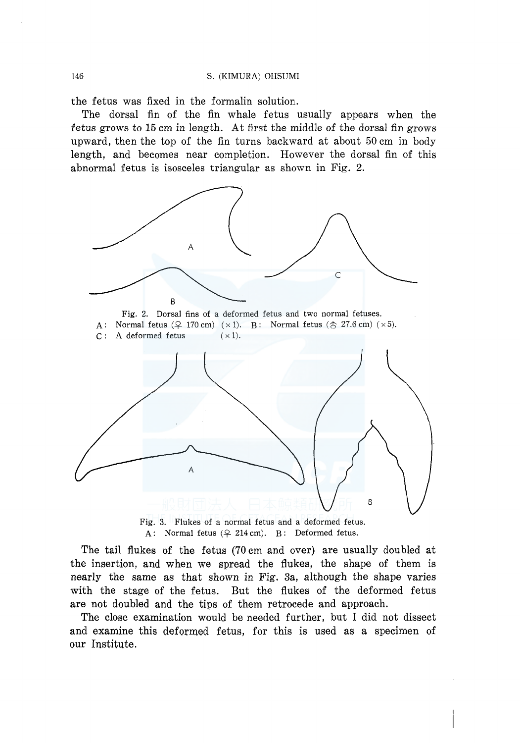the fetus was fixed in the formalin solution.

The dorsal fin of the fin whale fetus usually appears when the f etus grows to 15 cm in length. At first the middle of the dorsal fin grows upward, then the top of the fin turns backward at about 50 cm in body length, and becomes near completion. However the dorsal fin of this abnormal fetus is isosceles triangular as shown in Fig. 2.



Fig. 3. Flukes of a normal fetus and a deformed fetus. A: Normal fetus  $(2 214 \text{ cm})$ . B: Deformed fetus.

The tail flukes of the fetus (70 cm and over) are usually doubled at the insertion, and when we spread the flukes, the shape of them is nearly the same as that shown in Fig. 3a, although the shape varies with the stage of the fetus. But the flukes of the deformed fetus are not doubled and the tips of them retrocede and approach.

The close examination would be needed further, but I did not dissect and examine this deformed fetus, for this is used as a specimen of our Institute.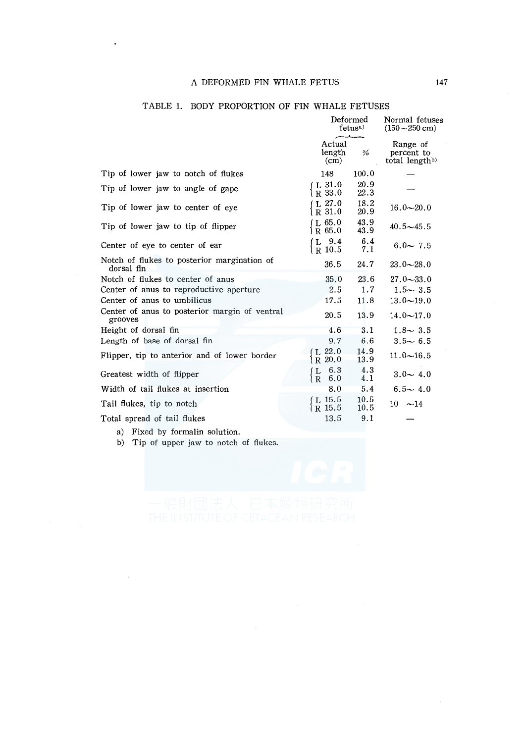#### A DEFORMED FIN WHALE FETUS 147

|                                                           | Deformed<br>fetus <sup>a</sup>  |              | Normal fetuses<br>$(150 - 250$ cm)                   |
|-----------------------------------------------------------|---------------------------------|--------------|------------------------------------------------------|
|                                                           | Actual<br>length<br>(cm)        | %            | Range of<br>percent to<br>total length <sup>b)</sup> |
| Tip of lower jaw to notch of flukes                       | 148                             | 100.0        |                                                      |
| Tip of lower jaw to angle of gape                         | $L$ 31.0<br>R 33.0              | 20.9<br>22.3 |                                                      |
| Tip of lower jaw to center of eye                         | L27.0<br>$R_{31.0}$             | 18.2<br>20.9 | $16.0 - 20.0$                                        |
| Tip of lower jaw to tip of flipper                        | I.65.0<br>R 65.0                | 43.9<br>43.9 | $40.5 - 45.5$                                        |
| Center of eye to center of ear                            | $L$ 9.4<br>l R 10.5             | 6.4<br>7.1   | $6.0 - 7.5$                                          |
| Notch of flukes to posterior margination of<br>dorsal fln | 36.5                            | 24.7         | $23.0 - 28.0$                                        |
| Notch of flukes to center of anus                         | 35.0                            | 23.6         | $27.0 - 33.0$                                        |
| Center of anus to reproductive aperture                   | 2.5                             | 1.7          | $1.5 - 3.5$                                          |
| Center of anus to umbilicus                               | 17.5                            | 11.8         | $13.0 - 19.0$                                        |
| Center of anus to posterior margin of ventral<br>grooves  | 20.5                            | 13.9         | $14.0 \sim 17.0$                                     |
| Height of dorsal fin                                      | 4.6                             | 3.1          | $1.8 - 3.5$                                          |
| Length of base of dorsal fin                              | 9.7                             | 6.6          | $3.5 - 6.5$                                          |
| Flipper, tip to anterior and of lower border              | (L 22.0)<br>$R_{20.0}$          | 14.9<br>13.9 | $11.0 - 16.5$                                        |
| Greatest width of flipper                                 | 6.3<br>L<br>6.0<br>$\mathbf{R}$ | 4.3<br>4.1   | $3.0 - 4.0$                                          |
| Width of tail flukes at insertion                         | 8.0                             | 5.4          | $6.5 - 4.0$                                          |
| Tail flukes, tip to notch                                 | L 15.5<br>R 15.5                | 10.5<br>10.5 | $10 \sim 14$                                         |
| Total spread of tail flukes                               | 13.5                            | 9.1          |                                                      |

## TABLE 1. BODY PROPORTION OF FIN WHALE FETUSES

a) Fixed by formalin solution.

b) Tip of upper jaw to notch of flukes.